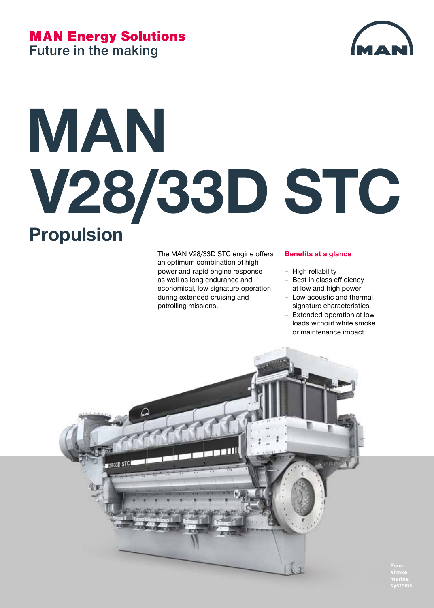#### **MAN Energy Solutions Future in the making**



## **MAN V28/33D STC Propulsion**

The MAN V28/33D STC engine offers an optimum combination of high power and rapid engine response as well as long endurance and economical, low signature operation during extended cruising and patrolling missions.

#### **Benefits at a glance**

- High reliability
- Best in class efficiency at low and high power
- Low acoustic and thermal signature characteristics
- Extended operation at low loads without white smoke or maintenance impact